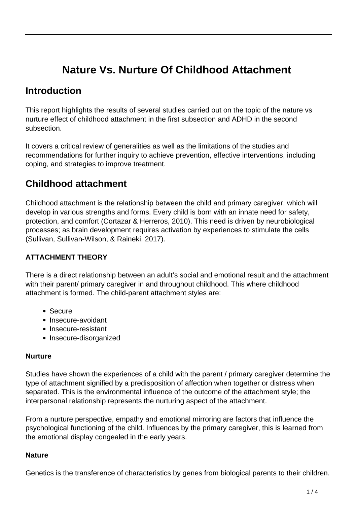# **Nature Vs. Nurture Of Childhood Attachment**

## **Introduction**

This report highlights the results of several studies carried out on the topic of the nature vs nurture effect of childhood attachment in the first subsection and ADHD in the second subsection.

It covers a critical review of generalities as well as the limitations of the studies and recommendations for further inquiry to achieve prevention, effective interventions, including coping, and strategies to improve treatment.

# **Childhood attachment**

Childhood attachment is the relationship between the child and primary caregiver, which will develop in various strengths and forms. Every child is born with an innate need for safety, protection, and comfort (Cortazar & Herreros, 2010). This need is driven by neurobiological processes; as brain development requires activation by experiences to stimulate the cells (Sullivan, Sullivan-Wilson, & Raineki, 2017).

### **ATTACHMENT THEORY**

There is a direct relationship between an adult's social and emotional result and the attachment with their parent/ primary caregiver in and throughout childhood. This where childhood attachment is formed. The child-parent attachment styles are:

- Secure
- Insecure-avoidant
- Insecure-resistant
- Insecure-disorganized

### **Nurture**

Studies have shown the experiences of a child with the parent / primary caregiver determine the type of attachment signified by a predisposition of affection when together or distress when separated. This is the environmental influence of the outcome of the attachment style; the interpersonal relationship represents the nurturing aspect of the attachment.

From a nurture perspective, empathy and emotional mirroring are factors that influence the psychological functioning of the child. Influences by the primary caregiver, this is learned from the emotional display congealed in the early years.

#### **Nature**

Genetics is the transference of characteristics by genes from biological parents to their children.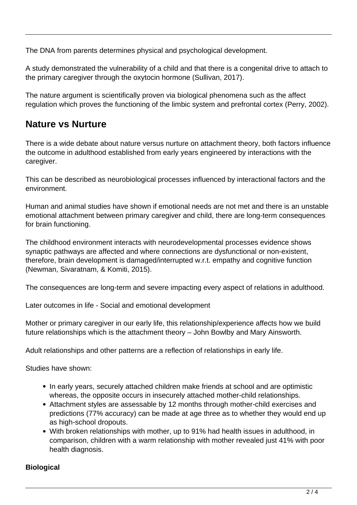The DNA from parents determines physical and psychological development.

A study demonstrated the vulnerability of a child and that there is a congenital drive to attach to the primary caregiver through the oxytocin hormone (Sullivan, 2017).

The nature argument is scientifically proven via biological phenomena such as the affect regulation which proves the functioning of the limbic system and prefrontal cortex (Perry, 2002).

# **Nature vs Nurture**

There is a wide debate about nature versus nurture on attachment theory, both factors influence the outcome in adulthood established from early years engineered by interactions with the caregiver.

This can be described as neurobiological processes influenced by interactional factors and the environment.

Human and animal studies have shown if emotional needs are not met and there is an unstable emotional attachment between primary caregiver and child, there are long-term consequences for brain functioning.

The childhood environment interacts with neurodevelopmental processes evidence shows synaptic pathways are affected and where connections are dysfunctional or non-existent, therefore, brain development is damaged/interrupted w.r.t. empathy and cognitive function (Newman, Sivaratnam, & Komiti, 2015).

The consequences are long-term and severe impacting every aspect of relations in adulthood.

Later outcomes in life - Social and emotional development

Mother or primary caregiver in our early life, this relationship/experience affects how we build future relationships which is the attachment theory – John Bowlby and Mary Ainsworth.

Adult relationships and other patterns are a reflection of relationships in early life.

Studies have shown:

- In early years, securely attached children make friends at school and are optimistic whereas, the opposite occurs in insecurely attached mother-child relationships.
- Attachment styles are assessable by 12 months through mother-child exercises and predictions (77% accuracy) can be made at age three as to whether they would end up as high-school dropouts.
- With broken relationships with mother, up to 91% had health issues in adulthood, in comparison, children with a warm relationship with mother revealed just 41% with poor health diagnosis.

### **Biological**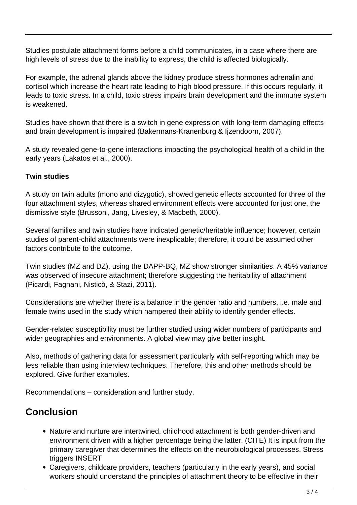Studies postulate attachment forms before a child communicates, in a case where there are high levels of stress due to the inability to express, the child is affected biologically.

For example, the adrenal glands above the kidney produce stress hormones adrenalin and cortisol which increase the heart rate leading to high blood pressure. If this occurs regularly, it leads to toxic stress. In a child, toxic stress impairs brain development and the immune system is weakened.

Studies have shown that there is a switch in gene expression with long-term damaging effects and brain development is impaired (Bakermans-Kranenburg & Ijzendoorn, 2007).

A study revealed gene-to-gene interactions impacting the psychological health of a child in the early years (Lakatos et al., 2000).

### **Twin studies**

A study on twin adults (mono and dizygotic), showed genetic effects accounted for three of the four attachment styles, whereas shared environment effects were accounted for just one, the dismissive style (Brussoni, Jang, Livesley, & Macbeth, 2000).

Several families and twin studies have indicated genetic/heritable influence; however, certain studies of parent-child attachments were inexplicable; therefore, it could be assumed other factors contribute to the outcome.

Twin studies (MZ and DZ), using the DAPP-BQ, MZ show stronger similarities. A 45% variance was observed of insecure attachment; therefore suggesting the heritability of attachment (Picardi, Fagnani, Nisticò, & Stazi, 2011).

Considerations are whether there is a balance in the gender ratio and numbers, i.e. male and female twins used in the study which hampered their ability to identify gender effects.

Gender-related susceptibility must be further studied using wider numbers of participants and wider geographies and environments. A global view may give better insight.

Also, methods of gathering data for assessment particularly with self-reporting which may be less reliable than using interview techniques. Therefore, this and other methods should be explored. Give further examples.

Recommendations – consideration and further study.

# **Conclusion**

- Nature and nurture are intertwined, childhood attachment is both gender-driven and environment driven with a higher percentage being the latter. (CITE) It is input from the primary caregiver that determines the effects on the neurobiological processes. Stress triggers INSERT
- Caregivers, childcare providers, teachers (particularly in the early years), and social workers should understand the principles of attachment theory to be effective in their